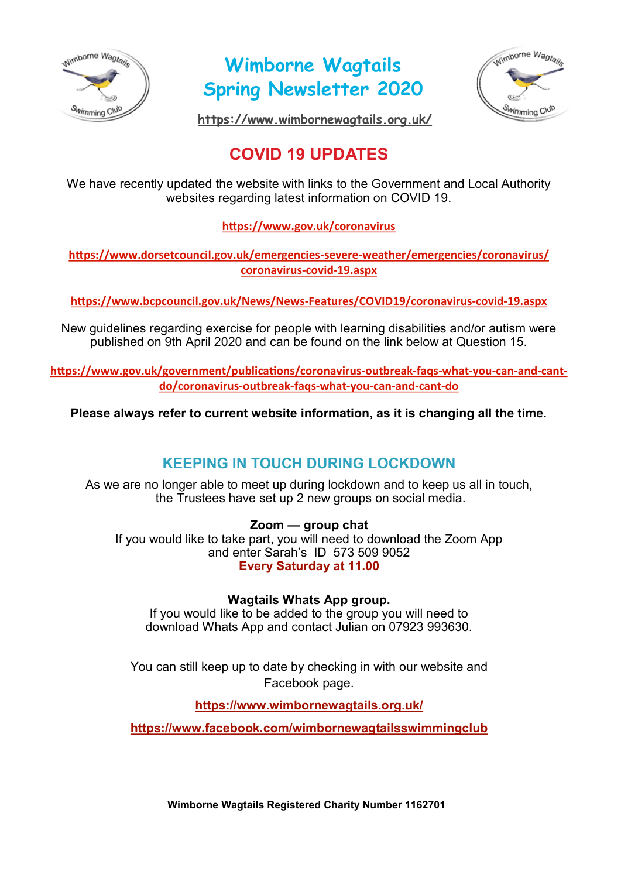

**Wimborne Wagtails Spring Newsletter 2020**



**<https://www.wimbornewagtails.org.uk/>**

# **COVID 19 UPDATES**

We have recently updated the website with links to the Government and Local Authority websites regarding latest information on COVID 19.

**<https://www.gov.uk/coronavirus>**

**[https://www.dorsetcouncil.gov.uk/emergencies](https://www.dorsetcouncil.gov.uk/emergencies-severe-weather/emergencies/coronavirus/coronavirus-covid-19.aspx)-severe-weather/emergencies/coronavirus/ [coronavirus](https://www.dorsetcouncil.gov.uk/emergencies-severe-weather/emergencies/coronavirus/coronavirus-covid-19.aspx)-covid-19.aspx**

**[https://www.bcpcouncil.gov.uk/News/News](https://www.bcpcouncil.gov.uk/News/News-Features/COVID19/coronavirus-covid-19.aspx)-Features/COVID19/coronavirus-covid-19.aspx**

New guidelines regarding exercise for people with learning disabilities and/or autism were published on 9th April 2020 and can be found on the link below at Question 15.

**[https://www.gov.uk/government/publications/coronavirus](https://www.gov.uk/government/publications/coronavirus-outbreak-faqs-what-you-can-and-cant-do/coronavirus-outbreak-faqs-what-you-can-and-cant-do)-outbreak-faqs-what-you-can-and-cant[do/coronavirus](https://www.gov.uk/government/publications/coronavirus-outbreak-faqs-what-you-can-and-cant-do/coronavirus-outbreak-faqs-what-you-can-and-cant-do)-outbreak-faqs-what-you-can-and-cant-do**

**Please always refer to current website information, as it is changing all the time.** 

## **KEEPING IN TOUCH DURING LOCKDOWN**

As we are no longer able to meet up during lockdown and to keep us all in touch, the Trustees have set up 2 new groups on social media.

### **Zoom — group chat**

If you would like to take part, you will need to download the Zoom App and enter Sarah's ID 573 509 9052 **Every Saturday at 11.00**

**Wagtails Whats App group.** 

If you would like to be added to the group you will need to download Whats App and contact Julian on 07923 993630.

You can still keep up to date by checking in with our website and Facebook page.

**<https://www.wimbornewagtails.org.uk/>**

**<https://www.facebook.com/wimbornewagtailsswimmingclub>**

**Wimborne Wagtails Registered Charity Number 1162701**